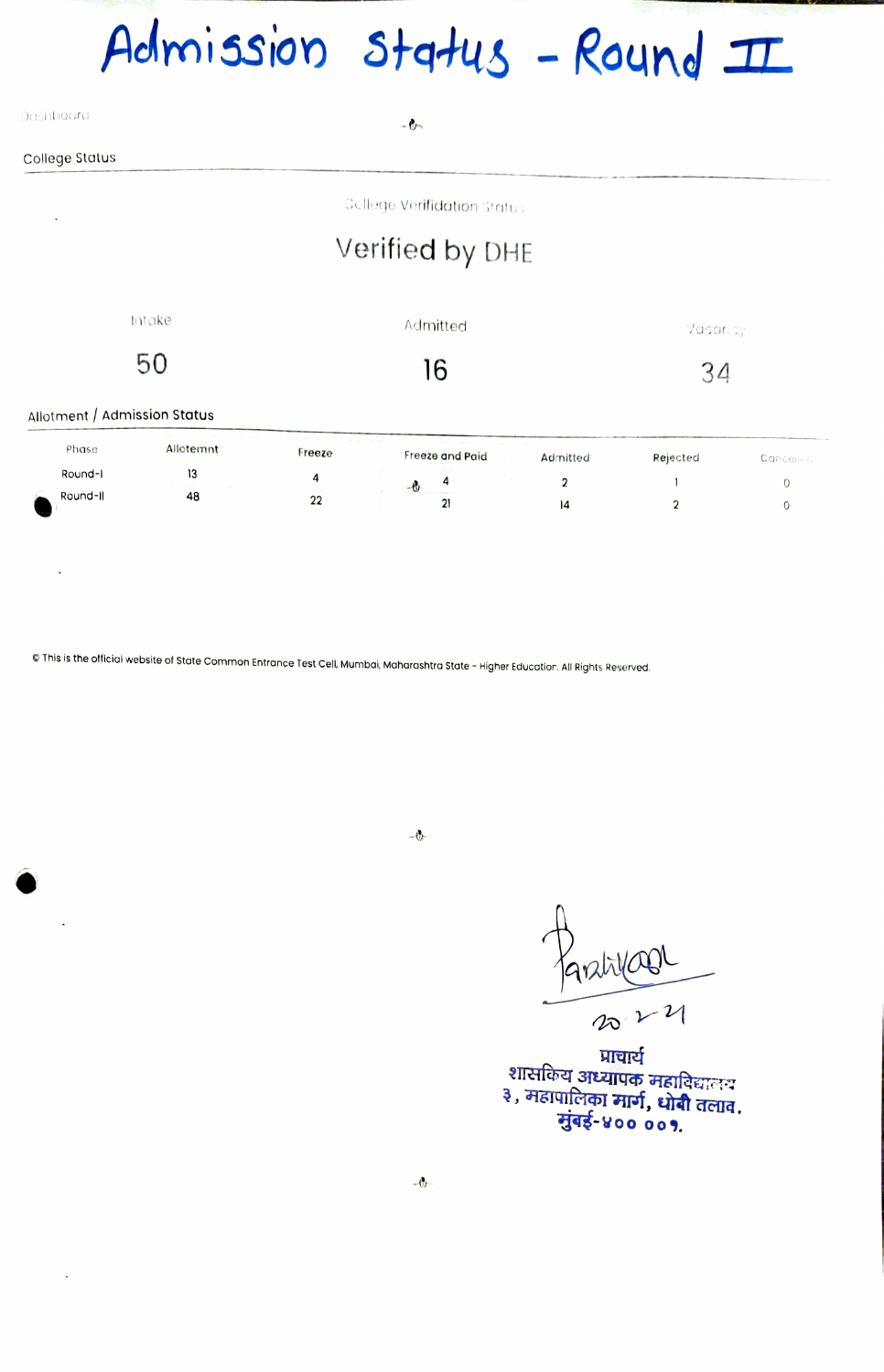## Admission Status - Round II

| Dashboard      | $-0-$                         |
|----------------|-------------------------------|
| College Status |                               |
| $\blacksquare$ | - Gellege Verifidation Status |

## Verified by DHE

| Allotment / Admission Status | Intake<br>50 |        | Admitted<br>6   |                | Vacancy  |          |  |  |  |  |
|------------------------------|--------------|--------|-----------------|----------------|----------|----------|--|--|--|--|
| Phase                        | Allotemnt    | Freeze | Freeze and Paid | Admitted       | Rejected | Cancened |  |  |  |  |
| Round-I                      | 13           | 4      | 4<br>$-6$       | $\overline{2}$ |          | 0        |  |  |  |  |
| Round-II                     | 48           | 22     | 21              | 14             |          |          |  |  |  |  |

© This is the official website of State Common Entrance Test Cell, Mumbai, Maharashtra State - Higher Education. All Rights Reserved.

 $\ddot{\phantom{0}}$ 

 $\ddot{\phantom{0}}$ 

 $-0$ 

Parativoor

 $\overline{14}$ 

 $\overline{2}$ 

 $\,0\,$ 

प्राचार्य शासकिय अध्यापक महाविद्यालय<br>३, महापालिका मार्ग, धोबी तलाव,<br>सुंबई-४०० ००१.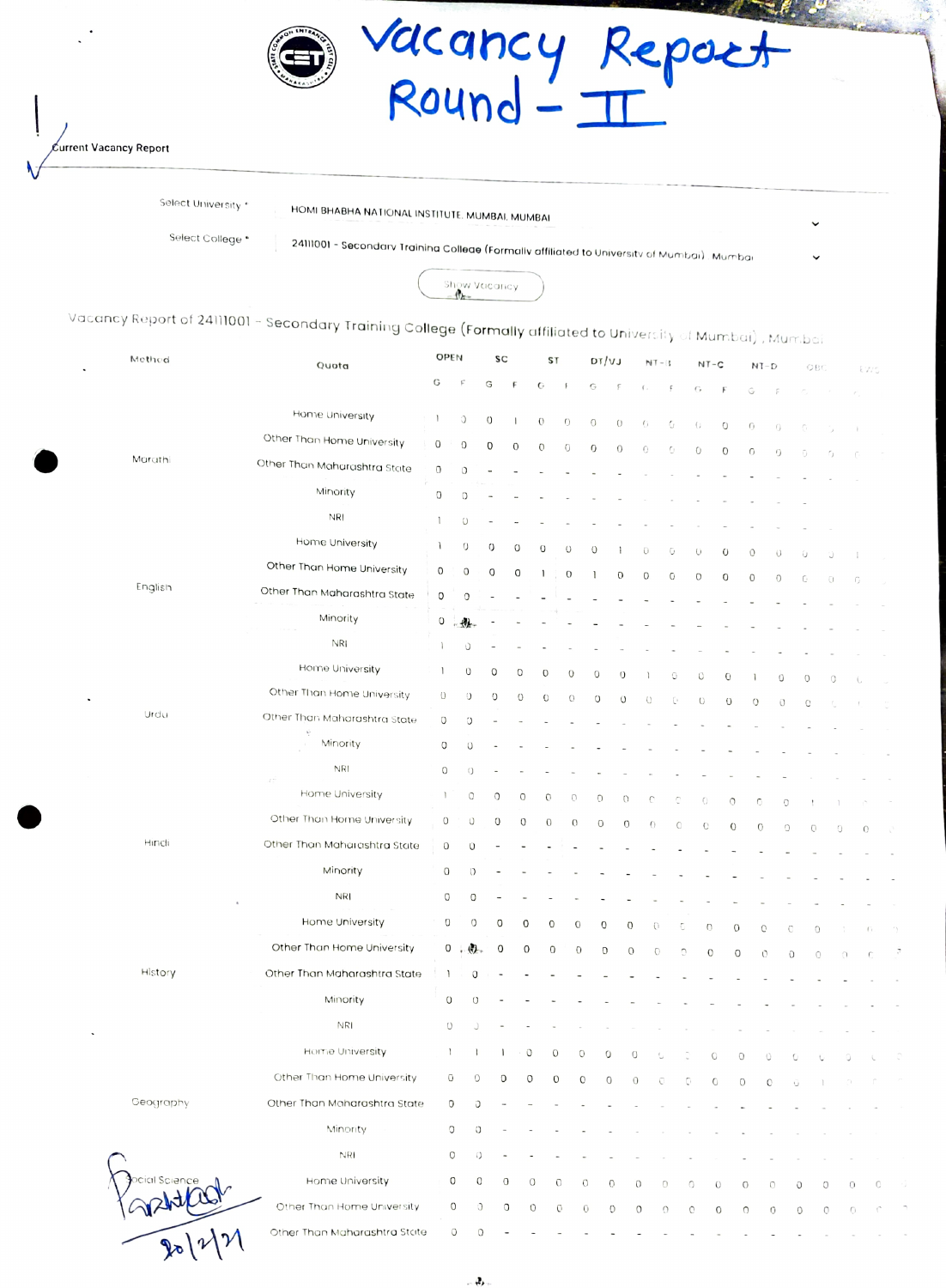

Current Vacancy Report

 $\mathcal{X}(\mathcal{V})$ 

Select University \* HOMI BHABHA NATIONAL INSTITUTE, MUMBAI, MUMBAI

Select College \*

24111001 - Secondary Trainina Colleae (Formally affiliated to University of Mumbai) . Mumbar



| Vacancy Report of 24111001 – S <mark>econdary Traini</mark> ng Co <b>llege (Formally</b> affiliated to University of Mumbai) , Mumbai<br>Methed | Quota                        | OPEN<br>SC<br><b>ST</b>               |                    |                  | DT/VJ                    |             | $NT - B$       |              | $NT - C$              |                | $\mathsf{NT}\text{-}\mathsf{D}$ |                     | OBC                    |                |             |            |   |        |               |
|-------------------------------------------------------------------------------------------------------------------------------------------------|------------------------------|---------------------------------------|--------------------|------------------|--------------------------|-------------|----------------|--------------|-----------------------|----------------|---------------------------------|---------------------|------------------------|----------------|-------------|------------|---|--------|---------------|
|                                                                                                                                                 |                              | G                                     |                    | G                | F                        | G           | $\sqrt{2}$     | G            | $\mathop{\mathsf{F}}$ |                | ζ,                              | ŗ                   | G                      |                | G           | p          |   |        | EWS           |
|                                                                                                                                                 | Home University              | $\mathbf{1}$                          | C                  | $\circ$          | <sup>1</sup>             | $\circ$     | $\circ$        | $\circ$      | $\theta$              |                | 0                               | G                   |                        |                |             |            |   |        |               |
|                                                                                                                                                 | Other Than Home University   | $\mathbf 0$                           | 0                  | 0                | 0                        | $\mathbf 0$ | $\circ$        | O            |                       | $\overline{0}$ | 0                               | 0                   | $\left( \cdot \right)$ | $\circ$        | 0           | $\cup$     |   |        |               |
| Marathi                                                                                                                                         | Other Than Maharashtra State | 0                                     | O                  |                  |                          |             |                |              |                       |                |                                 |                     | 0                      | $\mathbf 0$    | $\circ$     | 0          | 0 |        | f             |
|                                                                                                                                                 | Minority                     | O                                     | O                  |                  |                          |             |                |              |                       |                |                                 |                     |                        |                |             |            |   |        |               |
|                                                                                                                                                 | <b>NRI</b>                   | 1                                     | U                  |                  |                          |             |                |              |                       |                |                                 |                     |                        |                |             |            |   |        |               |
|                                                                                                                                                 | Home University              | 1                                     | $\circ$            | 0                | $\circ$                  | $\Omega$    | $\cup$         | O            |                       |                |                                 |                     |                        |                |             |            |   |        |               |
|                                                                                                                                                 | Other Than Home University   | 0                                     | O                  | $\circ$          | O                        | 1           | 0              |              |                       | $\mathbf 0$    | $\bigcirc$                      | Ū                   | O                      | $\circ$        | 0           | $\cup$     | Ü |        |               |
| English                                                                                                                                         | Other Than Maharashtra State | 0                                     | $\circ$            |                  |                          |             |                |              |                       |                | $\circ$                         | 0                   | $\circ$                | O              | $\mathbf 0$ | $\circ$    | C | O      | G             |
|                                                                                                                                                 | Minority                     | $\circ$                               | 粉<br>W             |                  |                          |             |                |              |                       |                |                                 |                     |                        |                |             |            |   |        |               |
|                                                                                                                                                 | NRI                          |                                       | Ú                  |                  |                          |             |                |              |                       |                |                                 |                     |                        |                |             |            |   |        |               |
|                                                                                                                                                 | Home University              | 1                                     | 0                  | $\circ$          | 0                        | 0           | 0              | 0            |                       | 0              |                                 | 0                   | O                      | $\mathbf 0$    |             |            |   |        |               |
|                                                                                                                                                 | Other Than Home University   | 0                                     | $\circ$            | 0                | $\circ$                  | 0           | $\mathcal{O}$  | $\circ$      |                       | $\cup$         | O                               | O                   | $\cup$                 | $\overline{O}$ | $\circ$     | 0          | 0 | O      | -0            |
| Urdu                                                                                                                                            | Other Than Maharashtra State | O                                     | Ü                  |                  |                          |             |                |              |                       |                |                                 |                     |                        |                |             | $\bigcirc$ | O |        |               |
|                                                                                                                                                 | Minority                     | 0                                     | U                  |                  |                          |             |                |              |                       |                |                                 |                     |                        |                |             |            |   |        |               |
|                                                                                                                                                 | <b>NRI</b>                   | $\bigcirc$                            | $\cup$             |                  |                          |             |                |              |                       |                |                                 |                     |                        |                |             |            |   |        |               |
|                                                                                                                                                 | χý,<br>Home University       | $\begin{array}{c} \hline \end{array}$ | $\circ$            | O                | $\circ$                  | 0           | 0              |              | O                     | $\circ$        | O                               | C                   | 0                      | $\circ$        | 0           | 0          |   |        |               |
|                                                                                                                                                 | Other Than Home University   | 0                                     | Ü                  | 0                | 0                        | 0           | $\overline{O}$ |              | $\circ$               | $\sigma$       | $\theta$                        | $\circlearrowright$ | $\mathbf C$            | $\mathcal{O}$  | $\hbox{O}$  | O          | 0 | 0      |               |
| Hindi                                                                                                                                           | Other Than Maharashtra State | $\mbox{O}$                            | O                  |                  |                          |             |                |              |                       |                |                                 |                     |                        |                |             |            |   |        | $\mathcal{O}$ |
|                                                                                                                                                 | Minority                     | $\Omega$                              | $\circ$            |                  |                          |             |                |              |                       |                |                                 |                     |                        |                |             |            |   |        |               |
|                                                                                                                                                 | <b>NRI</b>                   | O                                     | 0                  |                  |                          |             |                |              |                       |                |                                 |                     |                        |                |             |            |   |        |               |
|                                                                                                                                                 | Home University              | O                                     | 0                  | O                | 0                        | 0           |                | $\mathbf{O}$ | 0                     | O              | $\bigcirc$                      | C                   | $\hbox{O}$             | 0              | Ö           | 0          | 0 |        | $\Gamma$      |
|                                                                                                                                                 | Other Than Home University   |                                       | $0 \cdot 0$        | 0                | 0                        | 0           |                | O            | O                     | $\circ$        | $\circ$                         | Û                   | 0                      | 0              | 0           | $\rm O$    | 0 | $\cap$ | -0            |
| History                                                                                                                                         | Other Than Maharashtra State | 1                                     | 0                  |                  |                          |             |                |              |                       |                |                                 |                     |                        |                |             |            |   |        |               |
|                                                                                                                                                 | Minority                     | $\mathsf O$                           | $\cup$             |                  |                          |             |                |              |                       |                |                                 |                     |                        |                |             |            |   |        |               |
|                                                                                                                                                 | <b>NRI</b>                   | $\cup$                                |                    | $\alpha$ $\beta$ | $\overline{\phantom{a}}$ |             |                |              |                       |                |                                 |                     |                        |                |             |            |   |        |               |
|                                                                                                                                                 | Home University              | $\mathbf{1}$                          |                    |                  | O                        |             | $\mathbf{O}$   | $\circ$      |                       |                |                                 |                     |                        |                |             |            |   |        |               |
|                                                                                                                                                 | Other Than Home University   | O                                     | 0                  |                  |                          | 0           | $\mathbf 0$    | $\mathbf{O}$ | 0                     | $\sqrt{a}$     |                                 | 0                   | $\circ$                | $\circ$        | $\mathbf C$ |            |   |        |               |
| Geography                                                                                                                                       | Other Than Maharashtra State | 0                                     | O                  |                  |                          |             |                |              |                       |                |                                 |                     |                        |                |             |            |   |        |               |
|                                                                                                                                                 | Minority                     | O                                     | O                  |                  |                          |             |                |              |                       |                |                                 |                     |                        |                |             |            |   |        |               |
|                                                                                                                                                 | <b>NRI</b>                   | 0                                     | O                  |                  |                          |             |                |              |                       |                |                                 |                     |                        |                |             |            |   |        |               |
|                                                                                                                                                 | Home University              | 0                                     | 0                  |                  | $\circ$                  | 0           | 0              | O            | 0                     | 0              | 0                               | 0                   |                        | 0              | Ω           | 0          | 0 | 0      | 0             |
|                                                                                                                                                 | Other Than Home University   |                                       | $\circ$<br>$\circ$ |                  | O                        | $\circ$     | $\mathbb{C}$   | O            | 0                     | $\circ$        | 0                               | $\circ$             |                        | 0              | $\circ$     | $\circ$    | 0 | 0      | 0.<br>- C     |
|                                                                                                                                                 | Other Than Maharashtra State |                                       | $\circ$<br>0       |                  |                          |             |                |              |                       |                |                                 |                     |                        |                |             |            |   |        |               |

B,